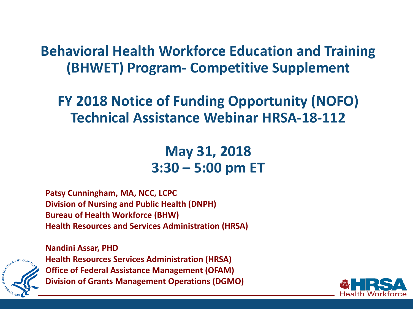### **Behavioral Health Workforce Education and Training (BHWET) Program- Competitive Supplement**

### **FY 2018 Notice of Funding Opportunity (NOFO) Technical Assistance Webinar HRSA-18-112**

### **May 31, 2018 3:30 – 5:00 pm ET**

**Patsy Cunningham, MA, NCC, LCPC Division of Nursing and Public Health (DNPH) Bureau of Health Workforce (BHW) Health Resources and Services Administration (HRSA)** 



**Nandini Assar, PHD Health Resources Services Administration (HRSA) Office of Federal Assistance Management (OFAM) Division of Grants Management Operations (DGMO)**

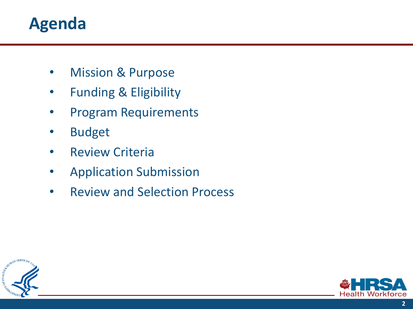## **Agenda**

- **Mission & Purpose**
- Funding & Eligibility
- Program Requirements
- **Budget**
- Review Criteria
- Application Submission
- Review and Selection Process



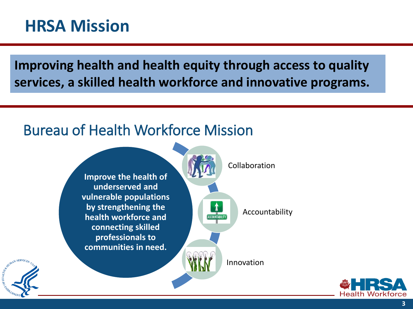## **HRSA Mission**

**Improving health and health equity through access to quality services, a skilled health workforce and innovative programs.** 

### Bureau of Health Workforce Mission





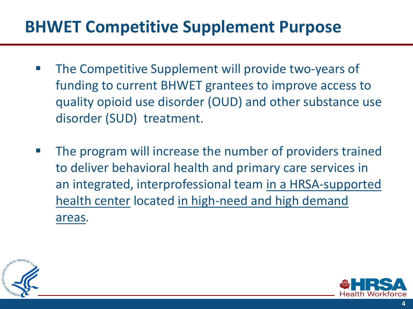## **BHWET Competitive Supplement Purpose**

- The Competitive Supplement will provide two-years of funding to current BHWET grantees to improve access to quality opioid use disorder (OUD) and other substance use disorder (SUD) treatment.
- The program will increase the number of providers trained to deliver behavioral health and primary care services in an integrated, interprofessional team in a HRSA-supported health center located in high-need and high demand areas.



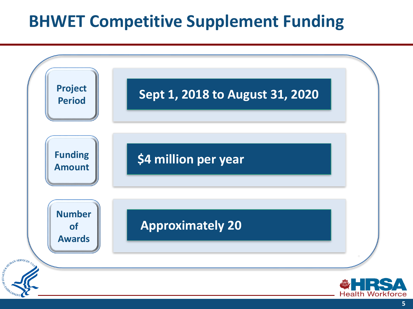## **BHWET Competitive Supplement Funding**

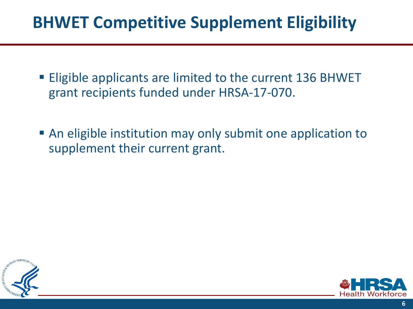## **BHWET Competitive Supplement Eligibility**

- Eligible applicants are limited to the current 136 BHWET grant recipients funded under HRSA-17-070.
- An eligible institution may only submit one application to supplement their current grant.



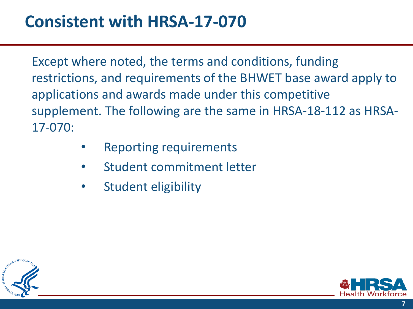Except where noted, the terms and conditions, funding restrictions, and requirements of the BHWET base award apply to applications and awards made under this competitive supplement. The following are the same in HRSA-18-112 as HRSA-17-070:

- Reporting requirements
- Student commitment letter
- Student eligibility



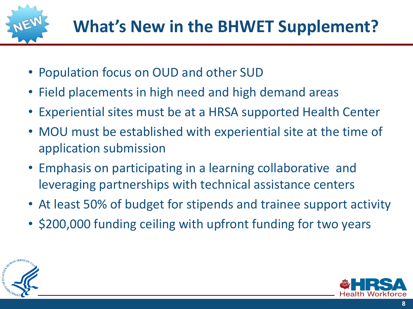

- Population focus on OUD and other SUD
- Field placements in high need and high demand areas
- Experiential sites must be at a HRSA supported Health Center
- MOU must be established with experiential site at the time of application submission
- Emphasis on participating in a learning collaborative and leveraging partnerships with technical assistance centers
- At least 50% of budget for stipends and trainee support activity
- \$200,000 funding ceiling with upfront funding for two years



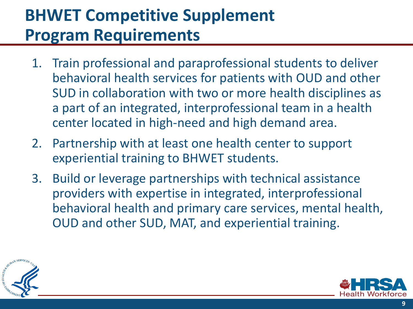# **BHWET Competitive Supplement Program Requirements**

- 1. Train professional and paraprofessional students to deliver behavioral health services for patients with OUD and other SUD in collaboration with two or more health disciplines as a part of an integrated, interprofessional team in a health center located in high-need and high demand area.
- 2. Partnership with at least one health center to support experiential training to BHWET students.
- 3. Build or leverage partnerships with technical assistance providers with expertise in integrated, interprofessional behavioral health and primary care services, mental health, OUD and other SUD, MAT, and experiential training.



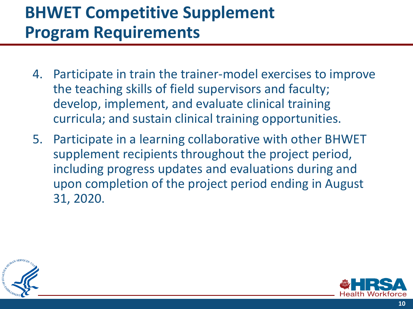## **BHWET Competitive Supplement Program Requirements**

- 4. Participate in train the trainer-model exercises to improve the teaching skills of field supervisors and faculty; develop, implement, and evaluate clinical training curricula; and sustain clinical training opportunities.
- 5. Participate in a learning collaborative with other BHWET supplement recipients throughout the project period, including progress updates and evaluations during and upon completion of the project period ending in August 31, 2020.



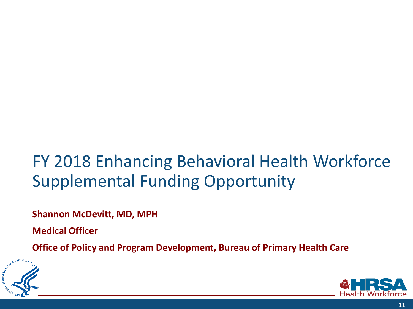# FY 2018 Enhancing Behavioral Health Workforce Supplemental Funding Opportunity

**Shannon McDevitt, MD, MPH** 

**Medical Officer** 

**Office of Policy and Program Development, Bureau of Primary Health Care**



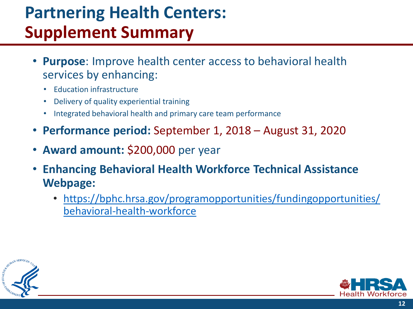# **Partnering Health Centers: Supplement Summary**

- **Purpose**: Improve health center access to behavioral health services by enhancing:
	- Education infrastructure
	- Delivery of quality experiential training
	- Integrated behavioral health and primary care team performance
- **Performance period:** September 1, 2018 August 31, 2020
- **Award amount:** \$200,000 per year
- **Enhancing Behavioral Health Workforce Technical Assistance Webpage:** 
	- [https://bphc.hrsa.gov/programopportunities/fundingopportunities/](https://bphc.hrsa.gov/programopportunities/fundingopportunities/behavioral-health-workforce) behavioral-health-workforce



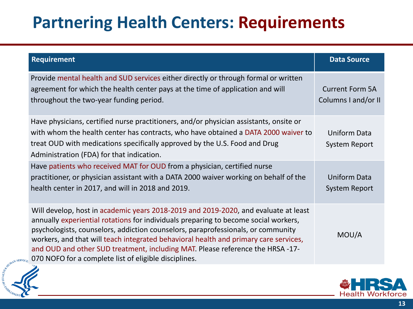# **Partnering Health Centers: Requirements**

| <b>Requirement</b>                                                                                                                                                                                                                                                                                                                                                                                                                                                                                                 | <b>Data Source</b>                            |
|--------------------------------------------------------------------------------------------------------------------------------------------------------------------------------------------------------------------------------------------------------------------------------------------------------------------------------------------------------------------------------------------------------------------------------------------------------------------------------------------------------------------|-----------------------------------------------|
| Provide mental health and SUD services either directly or through formal or written<br>agreement for which the health center pays at the time of application and will<br>throughout the two-year funding period.                                                                                                                                                                                                                                                                                                   | <b>Current Form 5A</b><br>Columns I and/or II |
| Have physicians, certified nurse practitioners, and/or physician assistants, onsite or<br>with whom the health center has contracts, who have obtained a DATA 2000 waiver to<br>treat OUD with medications specifically approved by the U.S. Food and Drug<br>Administration (FDA) for that indication.                                                                                                                                                                                                            | <b>Uniform Data</b><br><b>System Report</b>   |
| Have patients who received MAT for OUD from a physician, certified nurse<br>practitioner, or physician assistant with a DATA 2000 waiver working on behalf of the<br>health center in 2017, and will in 2018 and 2019.                                                                                                                                                                                                                                                                                             | <b>Uniform Data</b><br><b>System Report</b>   |
| Will develop, host in academic years 2018-2019 and 2019-2020, and evaluate at least<br>annually experiential rotations for individuals preparing to become social workers,<br>psychologists, counselors, addiction counselors, paraprofessionals, or community<br>workers, and that will teach integrated behavioral health and primary care services,<br>and OUD and other SUD treatment, including MAT. Please reference the HRSA -17-<br>$_{\rm{t_{CF}}}$ 070 NOFO for a complete list of eligible disciplines. | MOU/A                                         |



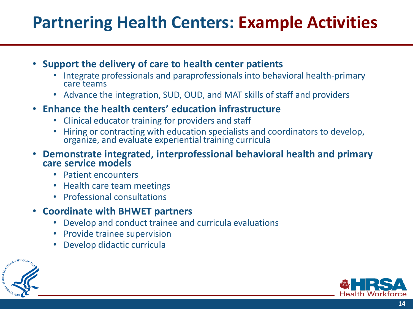## **Partnering Health Centers: Example Activities**

- **Support the delivery of care to health center patients** 
	- Integrate professionals and paraprofessionals into behavioral health-primary care teams
	- Advance the integration, SUD, OUD, and MAT skills of staff and providers
- **Enhance the health centers' education infrastructure** 
	- Clinical educator training for providers and staff
	- Hiring or contracting with education specialists and coordinators to develop, organize, and evaluate experiential training curricula
- **Demonstrate integrated, interprofessional behavioral health and primary care service models** 
	- Patient encounters
	- Health care team meetings
	- Professional consultations
- **Coordinate with BHWET partners** 
	- Develop and conduct trainee and curricula evaluations
	- Provide trainee supervision
	- Develop didactic curricula



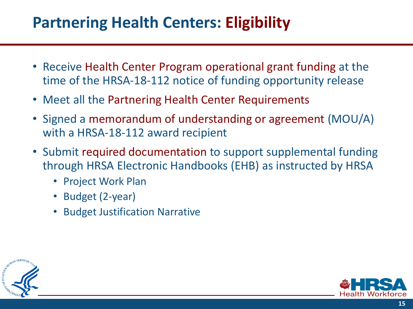### **Partnering Health Centers: Eligibility**

- Receive Health Center Program operational grant funding at the time of the HRSA-18-112 notice of funding opportunity release
- Meet all the Partnering Health Center Requirements
- Signed a memorandum of understanding or agreement (MOU/A) with a HRSA-18-112 award recipient
- Submit required documentation to support supplemental funding through HRSA Electronic Handbooks (EHB) as instructed by HRSA
	- Project Work Plan
	- Budget (2-year)
	- Budget Justification Narrative



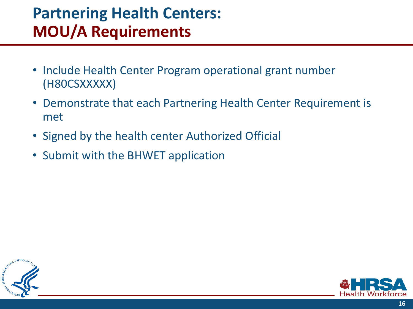### **Partnering Health Centers: MOU/A Requirements**

- Include Health Center Program operational grant number (H80CSXXXXX)
- Demonstrate that each Partnering Health Center Requirement is met
- Signed by the health center Authorized Official
- Submit with the BHWET application



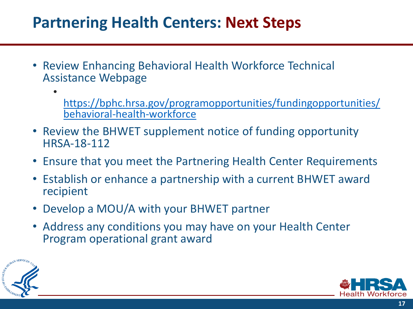### **Partnering Health Centers: Next Steps**

- Review Enhancing Behavioral Health Workforce Technical Assistance Webpage
	- [https://bphc.hrsa.gov/programopportunities/fundingopportunities/](https://bphc.hrsa.gov/programopportunities/fundingopportunities/behavioral-health-workforce) behavioral-health-workforce
- Review the BHWET supplement notice of funding opportunity HRSA-18-112
- Ensure that you meet the Partnering Health Center Requirements
- Establish or enhance a partnership with a current BHWET award recipient
- Develop a MOU/A with your BHWET partner
- Address any conditions you may have on your Health Center Program operational grant award



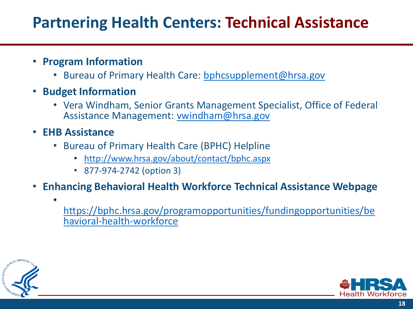### **Partnering Health Centers: Technical Assistance**

#### • **Program Information**

- Bureau of Primary Health Care: bphcsupplement@hrsa.gov
- **Budget Information** 
	- Vera Windham, Senior Grants Management Specialist, Office of Federal Assistance Management: [vwindham@hrsa.gov](mailto:vwindham@hrsa.gov)
- **EHB Assistance**

•

- Bureau of Primary Health Care (BPHC) Helpline
	- <http://www.hrsa.gov/about/contact/bphc.aspx>
	- 877-974-2742 (option 3)
- **Enhancing Behavioral Health Workforce Technical Assistance Webpage** 
	- https://bphc.hrsa.gov/programopportunities/fundingopportunities/be havioral-health-workforce



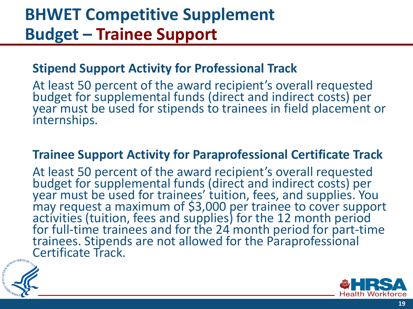## **BHWET Competitive Supplement Budget – Trainee Support**

#### **Stipend Support Activity for Professional Track**

At least 50 percent of the award recipient's overall requested budget for supplemental funds (direct and indirect costs) per year must be used for stipends to trainees in field placement or internships.

#### **Trainee Support Activity for Paraprofessional Certificate Track**

At least 50 percent of the award recipient's overall requested budget for supplemental funds (direct and indirect costs) per year must be used for trainees' tuition, fees, and supplies. You may request a maximum of \$3,000 per trainee to cover support activities (tuition, fees and supplies) for the 12 month period for full-time trainees and for the 24 month period for part-time trainees. Stipends are not allowed for the Paraprofessional Certificate Track.



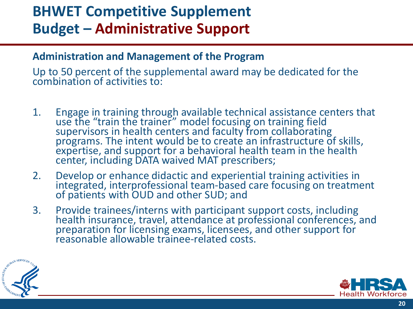### **BHWET Competitive Supplement Budget – Administrative Support**

#### **Administration and Management of the Program**

Up to 50 percent of the supplemental award may be dedicated for the combination of activities to:

- 1. Engage in training through available technical assistance centers that use the "train the trainer" model focusing on training field supervisors in health centers and faculty from collaborating programs. The intent would be to create an infrastructure of skills, expertise, and support for a behavioral health team in the health center, including DATA waived MAT prescribers;
- 2. Develop or enhance didactic and experiential training activities in integrated, interprofessional team-based care focusing on treatment of patients with OUD and other SUD; and
- 3. Provide trainees/interns with participant support costs, including health insurance, travel, attendance at professional conferences, and preparation for licensing exams, licensees, and other support for reasonable allowable trainee-related costs.



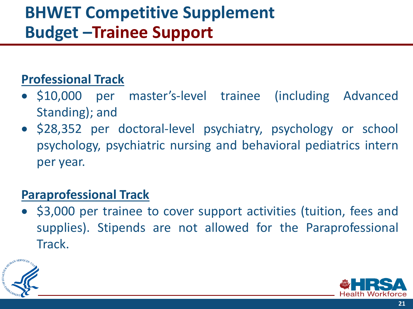# **BHWET Competitive Supplement Budget –Trainee Support**

### **Professional Track**

- \$10,000 per master's-level trainee (including Advanced Standing); and
- \$28,352 per doctoral-level psychiatry, psychology or school psychology, psychiatric nursing and behavioral pediatrics intern per year.

### **Paraprofessional Track**

• \$3,000 per trainee to cover support activities (tuition, fees and supplies). Stipends are not allowed for the Paraprofessional Track.



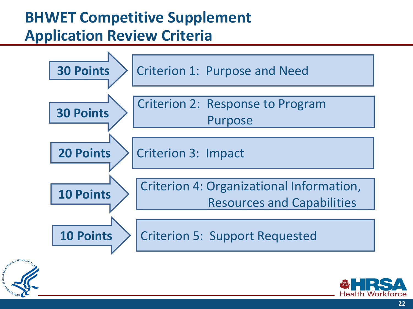## **BHWET Competitive Supplement Application Review Criteria**





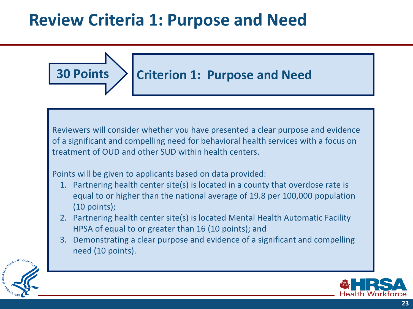## **Review Criteria 1: Purpose and Need**



Reviewers will consider whether you have presented a clear purpose and evidence of a significant and compelling need for behavioral health services with a focus on treatment of OUD and other SUD within health centers.

Points will be given to applicants based on data provided:

- 1. Partnering health center site(s) is located in a county that overdose rate is equal to or higher than the national average of 19.8 per 100,000 population (10 points);
- 2. Partnering health center site(s) is located Mental Health Automatic Facility HPSA of equal to or greater than 16 (10 points); and
- 3. Demonstrating a clear purpose and evidence of a significant and compelling need (10 points).



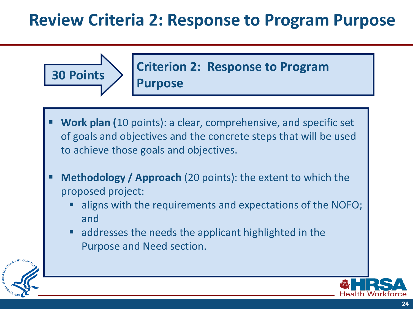## **Review Criteria 2: Response to Program Purpose**





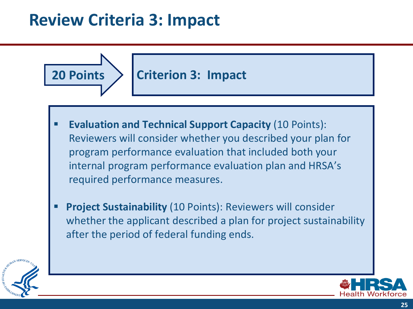## **Review Criteria 3: Impact**



**25**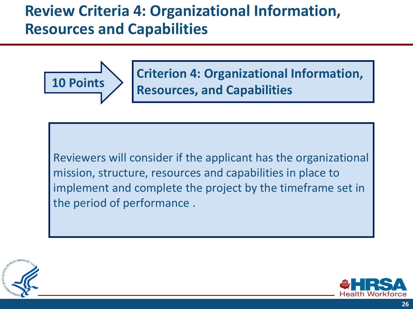### **Review Criteria 4: Organizational Information, Resources and Capabilities**



**Criterion 4: Organizational Information, Resources, and Capabilities** 

Reviewers will consider if the applicant has the organizational mission, structure, resources and capabilities in place to implement and complete the project by the timeframe set in the period of performance .



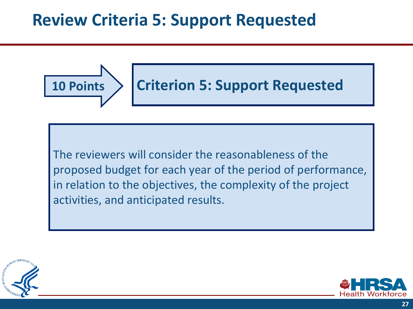## **Review Criteria 5: Support Requested**



The reviewers will consider the reasonableness of the proposed budget for each year of the period of performance, in relation to the objectives, the complexity of the project activities, and anticipated results.



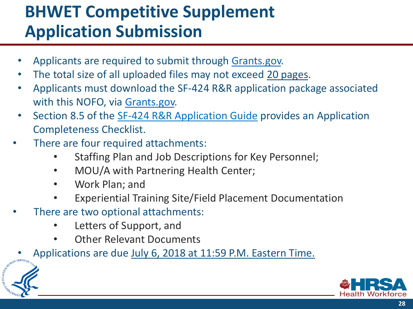# **BHWET Competitive Supplement Application Submission**

- Applicants are required to submit through [Grants.gov.](http://grants.nih.gov/grants/guide/url_redirect.htm?id=11127)
- The total size of all uploaded files may not exceed 20 pages.
- Applicants must download the SF-424 R&R application package associated with this NOFO, via [Grants.gov.](http://grants.nih.gov/grants/guide/url_redirect.htm?id=11127)
- Section 8.5 of the [SF-424 R&R Application Guide](http://www.hrsa.gov/grants/apply/applicationguide/sf424rrguidev2.pdf) provides an Application Completeness Checklist.
- There are four required attachments:
	- Staffing Plan and Job Descriptions for Key Personnel;
	- MOU/A with Partnering Health Center;
	- Work Plan; and
	- Experiential Training Site/Field Placement Documentation
- There are two optional attachments:
	- Letters of Support, and
	- Other Relevant Documents
	- Applications are due July 6, 2018 at 11:59 P.M. Eastern Time.



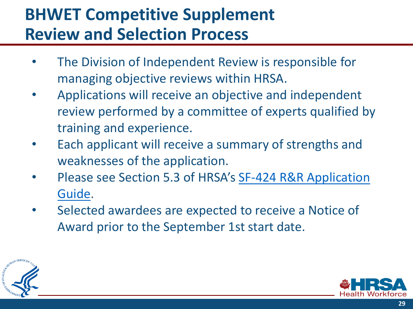## **BHWET Competitive Supplement Review and Selection Process**

- The Division of Independent Review is responsible for managing objective reviews within HRSA.
- Applications will receive an objective and independent review performed by a committee of experts qualified by training and experience.
- Each applicant will receive a summary of strengths and weaknesses of the application.
- [Please see Section 5.3 of HRSA's](http://www.hrsa.gov/grants/apply/applicationguide/sf424rrguidev2.pdf) SF-424 R&R Application Guide.
- Selected awardees are expected to receive a Notice of Award prior to the September 1st start date.



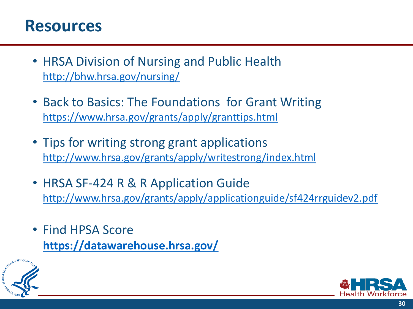### **Resources**

- HRSA Division of Nursing and Public Health <http://bhw.hrsa.gov/nursing/>
- Back to Basics: The Foundations for Grant Writing <https://www.hrsa.gov/grants/apply/granttips.html>
- Tips for writing strong grant applications <http://www.hrsa.gov/grants/apply/writestrong/index.html>
- HRSA SF-424 R & R Application Guide <http://www.hrsa.gov/grants/apply/applicationguide/sf424rrguidev2.pdf>
- Find HPSA Score **<https://datawarehouse.hrsa.gov/>**



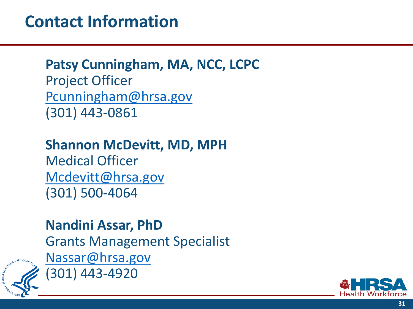## **Contact Information**

### **Patsy Cunningham, MA, NCC, LCPC**  Project Officer [Pcunningham@hrsa.gov](mailto:BHWET@hrsa.gov) (301) 443-0861

### **Shannon McDevitt, MD, MPH**

Medical Officer Mcdevitt@hrsa.gov (301) 500-4064

### **Nandini Assar, PhD**

Grants Management Specialist [Nassar@hrsa.gov](mailto:Nassar@hrsa.gov) (301) 443-4920